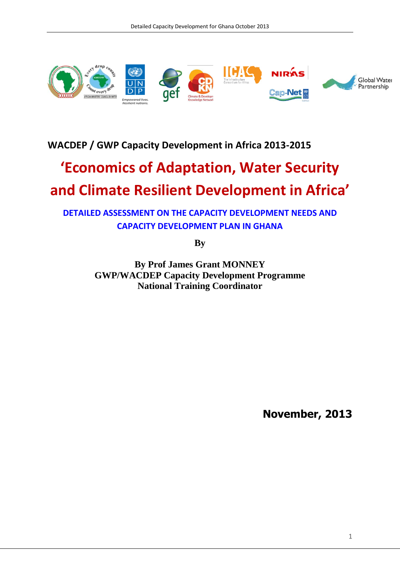

## **WACDEP / GWP Capacity Development in Africa 2013-2015**

# **'Economics of Adaptation, Water Security and Climate Resilient Development in Africa'**

**DETAILED ASSESSMENT ON THE CAPACITY DEVELOPMENT NEEDS AND CAPACITY DEVELOPMENT PLAN IN GHANA**

**By**

**By Prof James Grant MONNEY GWP/WACDEP Capacity Development Programme National Training Coordinator**

**November, 2013**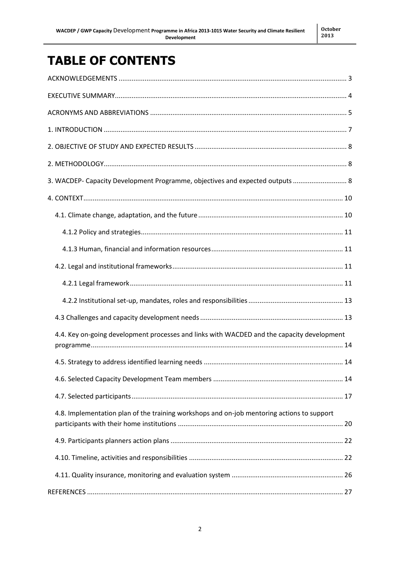## **TABLE OF CONTENTS**

| 3. WACDEP- Capacity Development Programme, objectives and expected outputs  8              |
|--------------------------------------------------------------------------------------------|
|                                                                                            |
|                                                                                            |
|                                                                                            |
|                                                                                            |
|                                                                                            |
|                                                                                            |
|                                                                                            |
|                                                                                            |
| 4.4. Key on-going development processes and links with WACDED and the capacity development |
|                                                                                            |
|                                                                                            |
|                                                                                            |
| 4.8. Implementation plan of the training workshops and on-job mentoring actions to support |
|                                                                                            |
|                                                                                            |
|                                                                                            |
|                                                                                            |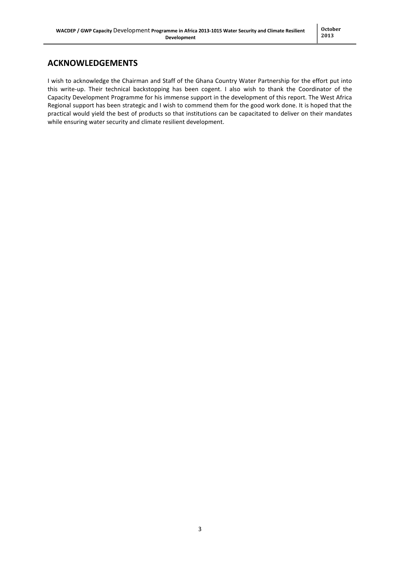## <span id="page-2-0"></span>**ACKNOWLEDGEMENTS**

I wish to acknowledge the Chairman and Staff of the Ghana Country Water Partnership for the effort put into this write-up. Their technical backstopping has been cogent. I also wish to thank the Coordinator of the Capacity Development Programme for his immense support in the development of this report. The West Africa Regional support has been strategic and I wish to commend them for the good work done. It is hoped that the practical would yield the best of products so that institutions can be capacitated to deliver on their mandates while ensuring water security and climate resilient development.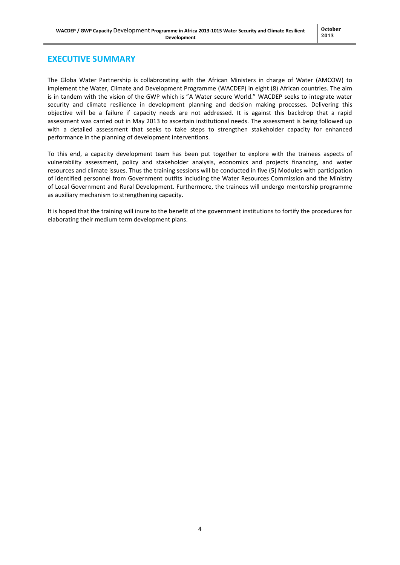#### <span id="page-3-0"></span>**EXECUTIVE SUMMARY**

The Globa Water Partnership is collabrorating with the African Ministers in charge of Water (AMCOW) to implement the Water, Climate and Development Programme (WACDEP) in eight (8) African countries. The aim is in tandem with the vision of the GWP which is "A Water secure World." WACDEP seeks to integrate water security and climate resilience in development planning and decision making processes. Delivering this objective will be a failure if capacity needs are not addressed. It is against this backdrop that a rapid assessment was carried out in May 2013 to ascertain institutional needs. The assessment is being followed up with a detailed assessment that seeks to take steps to strengthen stakeholder capacity for enhanced performance in the planning of development interventions.

To this end, a capacity development team has been put together to explore with the trainees aspects of vulnerability assessment, policy and stakeholder analysis, economics and projects financing, and water resources and climate issues. Thus the training sessions will be conducted in five (5) Modules with participation of identified personnel from Government outfits including the Water Resources Commission and the Ministry of Local Government and Rural Development. Furthermore, the trainees will undergo mentorship programme as auxiliary mechanism to strengthening capacity.

It is hoped that the training will inure to the benefit of the government institutions to fortify the procedures for elaborating their medium term development plans.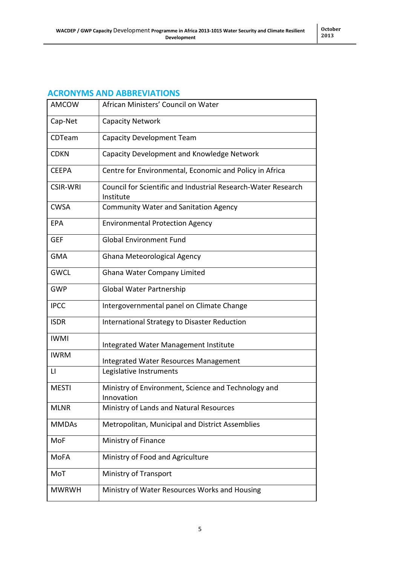## <span id="page-4-0"></span>**ACRONYMS AND ABBREVIATIONS**

| <b>AMCOW</b>    | African Ministers' Council on Water                                        |
|-----------------|----------------------------------------------------------------------------|
| Cap-Net         | <b>Capacity Network</b>                                                    |
| CDTeam          | <b>Capacity Development Team</b>                                           |
| <b>CDKN</b>     | Capacity Development and Knowledge Network                                 |
| <b>CEEPA</b>    | Centre for Environmental, Economic and Policy in Africa                    |
| <b>CSIR-WRI</b> | Council for Scientific and Industrial Research-Water Research<br>Institute |
| <b>CWSA</b>     | <b>Community Water and Sanitation Agency</b>                               |
| <b>EPA</b>      | <b>Environmental Protection Agency</b>                                     |
| <b>GEF</b>      | <b>Global Environment Fund</b>                                             |
| <b>GMA</b>      | Ghana Meteorological Agency                                                |
| <b>GWCL</b>     | Ghana Water Company Limited                                                |
| <b>GWP</b>      | Global Water Partnership                                                   |
| <b>IPCC</b>     | Intergovernmental panel on Climate Change                                  |
| <b>ISDR</b>     | International Strategy to Disaster Reduction                               |
| <b>IWMI</b>     | Integrated Water Management Institute                                      |
| <b>IWRM</b>     | Integrated Water Resources Management                                      |
| $\mathsf{L}$    | Legislative Instruments                                                    |
| <b>MESTI</b>    | Ministry of Environment, Science and Technology and<br>Innovation          |
| <b>MLNR</b>     | Ministry of Lands and Natural Resources                                    |
| <b>MMDAs</b>    | Metropolitan, Municipal and District Assemblies                            |
| MoF             | Ministry of Finance                                                        |
| MoFA            | Ministry of Food and Agriculture                                           |
| MoT             | Ministry of Transport                                                      |
| <b>MWRWH</b>    | Ministry of Water Resources Works and Housing                              |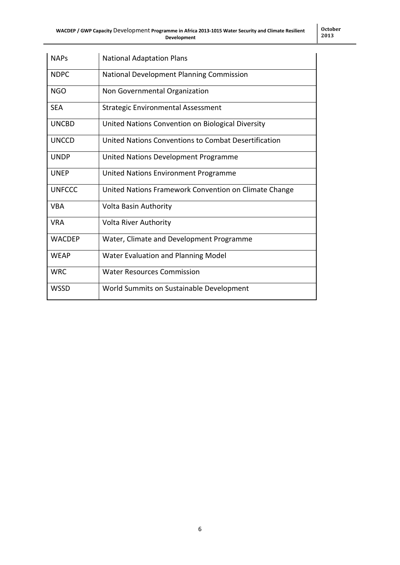| <b>NAPs</b>   | <b>National Adaptation Plans</b>                      |
|---------------|-------------------------------------------------------|
| <b>NDPC</b>   | National Development Planning Commission              |
| <b>NGO</b>    | Non Governmental Organization                         |
| <b>SEA</b>    | Strategic Environmental Assessment                    |
| <b>UNCBD</b>  | United Nations Convention on Biological Diversity     |
| <b>UNCCD</b>  | United Nations Conventions to Combat Desertification  |
| <b>UNDP</b>   | United Nations Development Programme                  |
| <b>UNEP</b>   | United Nations Environment Programme                  |
| <b>UNFCCC</b> | United Nations Framework Convention on Climate Change |
| <b>VBA</b>    | <b>Volta Basin Authority</b>                          |
| <b>VRA</b>    | <b>Volta River Authority</b>                          |
| <b>WACDEP</b> | Water, Climate and Development Programme              |
| <b>WFAP</b>   | Water Evaluation and Planning Model                   |
| <b>WRC</b>    | <b>Water Resources Commission</b>                     |
| <b>WSSD</b>   | World Summits on Sustainable Development              |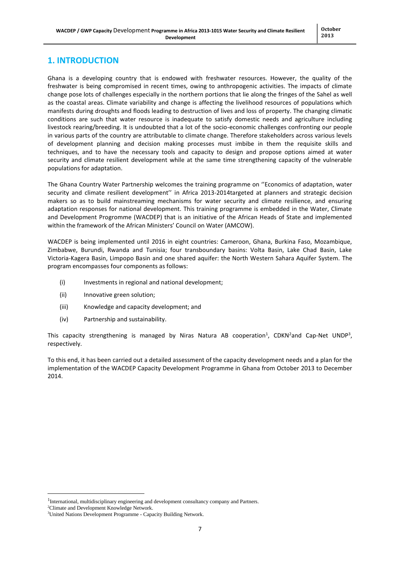## <span id="page-6-0"></span>**1. INTRODUCTION**

Ghana is a developing country that is endowed with freshwater resources. However, the quality of the freshwater is being compromised in recent times, owing to anthropogenic activities. The impacts of climate change pose lots of challenges especially in the northern portions that lie along the fringes of the Sahel as well as the coastal areas. Climate variability and change is affecting the livelihood resources of populations which manifests during droughts and floods leading to destruction of lives and loss of property. The changing climatic conditions are such that water resource is inadequate to satisfy domestic needs and agriculture including livestock rearing/breeding. It is undoubted that a lot of the socio-economic challenges confronting our people in various parts of the country are attributable to climate change. Therefore stakeholders across various levels of development planning and decision making processes must imbibe in them the requisite skills and techniques, and to have the necessary tools and capacity to design and propose options aimed at water security and climate resilient development while at the same time strengthening capacity of the vulnerable populations for adaptation.

The Ghana Country Water Partnership welcomes the training programme on ''Economics of adaptation, water security and climate resilient development'' in Africa 2013-2014targeted at planners and strategic decision makers so as to build mainstreaming mechanisms for water security and climate resilience, and ensuring adaptation responses for national development. This training programme is embedded in the Water, Climate and Development Progromme (WACDEP) that is an initiative of the African Heads of State and implemented within the framework of the African Ministers' Council on Water (AMCOW).

WACDEP is being implemented until 2016 in eight countries: Cameroon, Ghana, Burkina Faso, Mozambique, Zimbabwe, Burundi, Rwanda and Tunisia; four transboundary basins: Volta Basin, Lake Chad Basin, Lake Victoria-Kagera Basin, Limpopo Basin and one shared aquifer: the North Western Sahara Aquifer System. The program encompasses four components as follows:

- (i) Investments in regional and national development;
- (ii) Innovative green solution;
- (iii) Knowledge and capacity development; and
- (iv) Partnership and sustainability.

This capacity strengthening is managed by Niras Natura AB cooperation<sup>1</sup>, CDKN<sup>2</sup>and Cap-Net UNDP<sup>3</sup>, respectively.

To this end, it has been carried out a detailed assessment of the capacity development needs and a plan for the implementation of the WACDEP Capacity Development Programme in Ghana from October 2013 to December 2014.

 $\overline{\phantom{a}}$ 

<sup>&</sup>lt;sup>1</sup>International, multidisciplinary engineering and development consultancy company and Partners.

<sup>&</sup>lt;sup>2</sup>Climate and Development Knowledge Network.

<sup>&</sup>lt;sup>3</sup>United Nations Development Programme - Capacity Building Network.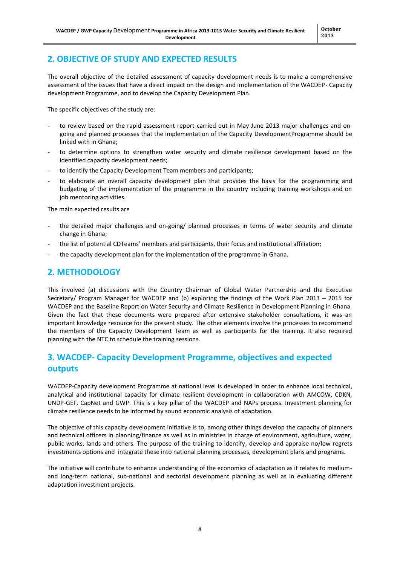## <span id="page-7-0"></span>**2. OBJECTIVE OF STUDY AND EXPECTED RESULTS**

The overall objective of the detailed assessment of capacity development needs is to make a comprehensive assessment of the issues that have a direct impact on the design and implementation of the WACDEP- Capacity development Programme, and to develop the Capacity Development Plan.

The specific objectives of the study are:

- to review based on the rapid assessment report carried out in May-June 2013 major challenges and ongoing and planned processes that the implementation of the Capacity DevelopmentProgramme should be linked with in Ghana;
- to determine options to strengthen water security and climate resilience development based on the identified capacity development needs;
- to identify the Capacity Development Team members and participants;
- to elaborate an overall capacity development plan that provides the basis for the programming and budgeting of the implementation of the programme in the country including training workshops and on job mentoring activities.

The main expected results are

- the detailed major challenges and on-going/ planned processes in terms of water security and climate change in Ghana;
- the list of potential CDTeams' members and participants, their focus and institutional affiliation;
- the capacity development plan for the implementation of the programme in Ghana.

### <span id="page-7-1"></span>**2. METHODOLOGY**

This involved (a) discussions with the Country Chairman of Global Water Partnership and the Executive Secretary/ Program Manager for WACDEP and (b) exploring the findings of the Work Plan 2013 – 2015 for WACDEP and the Baseline Report on Water Security and Climate Resilience in Development Planning in Ghana. Given the fact that these documents were prepared after extensive stakeholder consultations, it was an important knowledge resource for the present study. The other elements involve the processes to recommend the members of the Capacity Development Team as well as participants for the training. It also required planning with the NTC to schedule the training sessions.

## <span id="page-7-2"></span>**3. WACDEP- Capacity Development Programme, objectives and expected outputs**

WACDEP-Capacity development Programme at national level is developed in order to enhance local technical, analytical and institutional capacity for climate resilient development in collaboration with AMCOW, CDKN, UNDP-GEF, CapNet and GWP. This is a key pillar of the WACDEP and NAPs process. Investment planning for climate resilience needs to be informed by sound economic analysis of adaptation.

The objective of this capacity development initiative is to, among other things develop the capacity of planners and technical officers in planning/finance as well as in ministries in charge of environment, agriculture, water, public works, lands and others. The purpose of the training to identify, develop and appraise no/low regrets investments options and integrate these into national planning processes, development plans and programs.

The initiative will contribute to enhance understanding of the economics of adaptation as it relates to mediumand long-term national, sub-national and sectorial development planning as well as in evaluating different adaptation investment projects.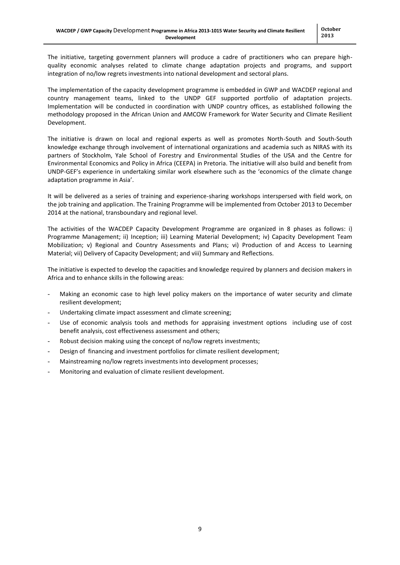The initiative, targeting government planners will produce a cadre of practitioners who can prepare highquality economic analyses related to climate change adaptation projects and programs, and support integration of no/low regrets investments into national development and sectoral plans.

The implementation of the capacity development programme is embedded in GWP and WACDEP regional and country management teams, linked to the UNDP GEF supported portfolio of adaptation projects. Implementation will be conducted in coordination with UNDP country offices, as established following the methodology proposed in the African Union and AMCOW Framework for Water Security and Climate Resilient Development.

The initiative is drawn on local and regional experts as well as promotes North-South and South-South knowledge exchange through involvement of international organizations and academia such as NIRAS with its partners of Stockholm, Yale School of Forestry and Environmental Studies of the USA and the Centre for Environmental Economics and Policy in Africa (CEEPA) in Pretoria. The initiative will also build and benefit from UNDP-GEF's experience in undertaking similar work elsewhere such as the 'economics of the climate change adaptation programme in Asia'.

It will be delivered as a series of training and experience-sharing workshops interspersed with field work, on the job training and application. The Training Programme will be implemented from October 2013 to December 2014 at the national, transboundary and regional level.

The activities of the WACDEP Capacity Development Programme are organized in 8 phases as follows: i) Programme Management; ii) Inception; iii) Learning Material Development; iv) Capacity Development Team Mobilization; v) Regional and Country Assessments and Plans; vi) Production of and Access to Learning Material; vii) Delivery of Capacity Development; and viii) Summary and Reflections.

The initiative is expected to develop the capacities and knowledge required by planners and decision makers in Africa and to enhance skills in the following areas:

- Making an economic case to high level policy makers on the importance of water security and climate resilient development;
- Undertaking climate impact assessment and climate screening;
- Use of economic analysis tools and methods for appraising investment options including use of cost benefit analysis, cost effectiveness assessment and others;
- Robust decision making using the concept of no/low regrets investments;
- Design of financing and investment portfolios for climate resilient development;
- Mainstreaming no/low regrets investments into development processes;
- Monitoring and evaluation of climate resilient development.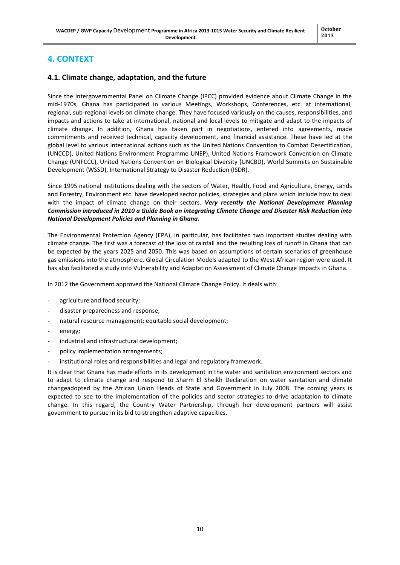## <span id="page-9-0"></span>**4. CONTEXT**

#### <span id="page-9-1"></span>**4.1. Climate change, adaptation, and the future**

Since the Intergovernmental Panel on Climate Change (IPCC) provided evidence about Climate Change in the mid-1970s, Ghana has participated in various Meetings, Workshops, Conferences, etc. at international, regional, sub-regional levels on climate change. They have focused variously on the causes, responsibilities, and impacts and actions to take at international, national and local levels to mitigate and adapt to the impacts of climate change. In addition, Ghana has taken part in negotiations, entered into agreements, made commitments and received technical, capacity development, and financial assistance. These have led at the global level to various international actions such as the United Nations Convention to Combat Desertification, (UNCCD), United Nations Environment Programme UNEP), United Nations Framework Convention on Climate Change (UNFCCC), United Nations Convention on Biological Diversity (UNCBD), World Summits on Sustainable Development (WSSD), International Strategy to Disaster Reduction (ISDR).

Since 1995 national institutions dealing with the sectors of Water, Health, Food and Agriculture, Energy, Lands and Forestry, Environment etc. have developed sector policies, strategies and plans which include how to deal with the impact of climate change on their sectors. *Very recently the National Development Planning Commission introduced in 2010 a Guide Book on integrating Climate Change and Disaster Risk Reduction into National Development Policies and Planning in Ghana*.

The Environmental Protection Agency (EPA), in particular, has facilitated two important studies dealing with climate change. The first was a forecast of the loss of rainfall and the resulting loss of runoff in Ghana that can be expected by the years 2025 and 2050. This was based on assumptions of certain scenarios of greenhouse gas emissions into the atmosphere. Global Circulation Models adapted to the West African region were used. It has also facilitated a study into Vulnerability and Adaptation Assessment of Climate Change Impacts in Ghana.

In 2012 the Government approved the National Climate Change Policy. It deals with:

- agriculture and food security:
- disaster preparedness and response;
- natural resource management; equitable social development;
- energy;
- industrial and infrastructural development;
- policy implementation arrangements;
- institutional roles and responsibilities and legal and regulatory framework.

It is clear that Ghana has made efforts in its development in the water and sanitation environment sectors and to adapt to climate change and respond to Sharm El Sheikh Declaration on water sanitation and climate changeadopted by the African Union Heads of State and Government in July 2008. The coming years is expected to see to the implementation of the policies and sector strategies to drive adaptation to climate change. In this regard, the Country Water Partnership, through her development partners will assist government to pursue in its bid to strengthen adaptive capacities.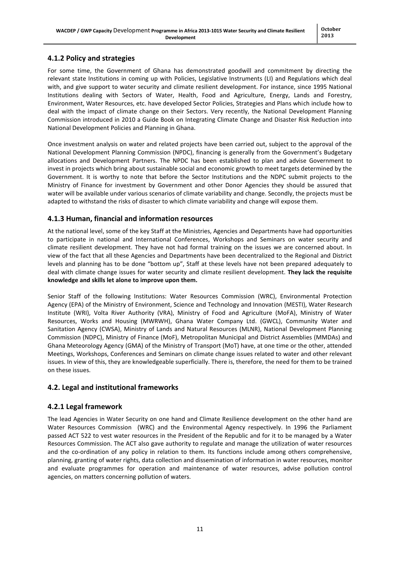## <span id="page-10-0"></span>**4.1.2 Policy and strategies**

For some time, the Government of Ghana has demonstrated goodwill and commitment by directing the relevant state Institutions in coming up with Policies, Legislative Instruments (LI) and Regulations which deal with, and give support to water security and climate resilient development. For instance, since 1995 National Institutions dealing with Sectors of Water, Health, Food and Agriculture, Energy, Lands and Forestry, Environment, Water Resources, etc. have developed Sector Policies, Strategies and Plans which include how to deal with the impact of climate change on their Sectors. Very recently, the National Development Planning Commission introduced in 2010 a Guide Book on Integrating Climate Change and Disaster Risk Reduction into National Development Policies and Planning in Ghana.

Once investment analysis on water and related projects have been carried out, subject to the approval of the National Development Planning Commission (NPDC), financing is generally from the Government's Budgetary allocations and Development Partners. The NPDC has been established to plan and advise Government to invest in projects which bring about sustainable social and economic growth to meet targets determined by the Government. It is worthy to note that before the Sector Institutions and the NDPC submit projects to the Ministry of Finance for investment by Government and other Donor Agencies they should be assured that water will be available under various scenarios of climate variability and change. Secondly, the projects must be adapted to withstand the risks of disaster to which climate variability and change will expose them.

#### <span id="page-10-1"></span>**4.1.3 Human, financial and information resources**

At the national level, some of the key Staff at the Ministries, Agencies and Departments have had opportunities to participate in national and International Conferences, Workshops and Seminars on water security and climate resilient development. They have not had formal training on the issues we are concerned about. In view of the fact that all these Agencies and Departments have been decentralized to the Regional and District levels and planning has to be done "bottom up", Staff at these levels have not been prepared adequately to deal with climate change issues for water security and climate resilient development. **They lack the requisite knowledge and skills let alone to improve upon them.**

Senior Staff of the following Institutions: Water Resources Commission (WRC), Environmental Protection Agency (EPA) of the Ministry of Environment, Science and Technology and Innovation (MESTI), Water Research Institute (WRI), Volta River Authority (VRA), Ministry of Food and Agriculture (MoFA), Ministry of Water Resources, Works and Housing (MWRWH), Ghana Water Company Ltd. (GWCL), Community Water and Sanitation Agency (CWSA), Ministry of Lands and Natural Resources (MLNR), National Development Planning Commission (NDPC), Ministry of Finance (MoF), Metropolitan Municipal and District Assemblies (MMDAs) and Ghana Meteorology Agency (GMA) of the Ministry of Transport (MoT) have, at one time or the other, attended Meetings, Workshops, Conferences and Seminars on climate change issues related to water and other relevant issues. In view of this, they are knowledgeable superficially. There is, therefore, the need for them to be trained on these issues.

#### <span id="page-10-2"></span>**4.2. Legal and institutional frameworks**

#### <span id="page-10-3"></span>**4.2.1 Legal framework**

The lead Agencies in Water Security on one hand and Climate Resilience development on the other hand are Water Resources Commission (WRC) and the Environmental Agency respectively. In 1996 the Parliament passed ACT 522 to vest water resources in the President of the Republic and for it to be managed by a Water Resources Commission. The ACT also gave authority to regulate and manage the utilization of water resources and the co-ordination of any policy in relation to them. Its functions include among others comprehensive, planning, granting of water rights, data collection and dissemination of information in water resources, monitor and evaluate programmes for operation and maintenance of water resources, advise pollution control agencies, on matters concerning pollution of waters.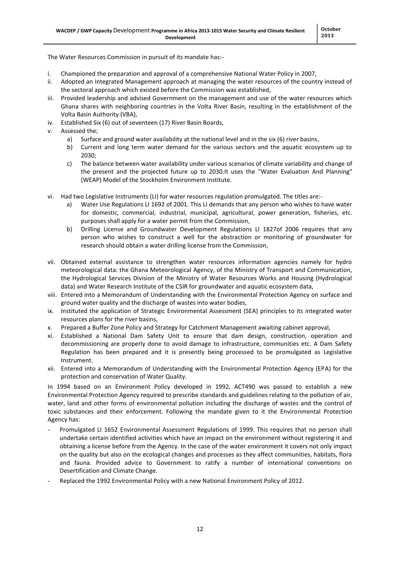The Water Resources Commission in pursuit of its mandate has:-

- i. Championed the preparation and approval of a comprehensive National Water Policy in 2007,
- ii. Adopted an Integrated Management approach at managing the water resources of the country instead of the sectoral approach which existed before the Commission was established,
- iii. Provided leadership and advised Government on the management and use of the water resources which Ghana shares with neighboring countries in the Volta River Basin, resulting in the establishment of the Volta Basin Authority (VBA),
- iv. Established Six (6) out of seventeen (17) River Basin Boards,
- v. Assessed the;
	- a) Surface and ground water availability at the national level and in the six (6) river basins,
	- b) Current and long term water demand for the various sectors and the aquatic ecosystem up to 2030;
	- c) The balance between water availability under various scenarios of climate variability and change of the present and the projected future up to 2030.It uses the "Water Evaluation And Planning" (WEAP) Model of the Stockholm Environment Institute.
- vi. Had two Legislative Instruments (LI) for water resources regulation promulgated. The titles are:
	- a) Water Use Regulations LI 1692 of 2001. This LI demands that any person who wishes to have water for domestic, commercial, industrial, municipal, agricultural, power generation, fisheries, etc. purposes shall apply for a water permit from the Commission,
	- b) Drilling License and Groundwater Development Regulations LI 1827of 2006 requires that any person who wishes to construct a well for the abstraction or monitoring of groundwater for research should obtain a water drilling license from the Commission,
- vii. Obtained external assistance to strengthen water resources information agencies namely for hydro meteorological data: the Ghana Meteorological Agency, of the Ministry of Transport and Communication, the Hydrological Services Division of the Ministry of Water Resources Works and Housing (Hydrological data) and Water Research Institute of the CSIR for groundwater and aquatic ecosystem data,
- viii. Entered into a Memorandum of Understanding with the Environmental Protection Agency on surface and ground water quality and the discharge of wastes into water bodies,
- ix. Instituted the application of Strategic Environmental Assessment (SEA) principles to its integrated water resources plans for the river basins,
- x. Prepared a Buffer Zone Policy and Strategy for Catchment Management awaiting cabinet approval,
- xi. Established a National Dam Safety Unit to ensure that dam design, construction, operation and decommissioning are properly done to avoid damage to infrastructure, communities etc. A Dam Safety Regulation has been prepared and it is presently being processed to be promulgated as Legislative Instrument.
- xii. Entered into a Memorandum of Understanding with the Environmental Protection Agency (EPA) for the protection and conservation of Water Quality.

In 1994 based on an Environment Policy developed in 1992, ACT490 was passed to establish a new Environmental Protection Agency required to prescribe standards and guidelines relating to the pollution of air, water, land and other forms of environmental pollution including the discharge of wastes and the control of toxic substances and their enforcement. Following the mandate given to it the Environmental Protection Agency has:

- Promulgated LI 1652 Environmental Assessment Regulations of 1999. This requires that no person shall undertake certain identified activities which have an impact on the environment without registering it and obtaining a license before from the Agency. In the case of the water environment it covers not only impact on the quality but also on the ecological changes and processes as they affect communities, habitats, flora and fauna. Provided advice to Government to ratify a number of international conventions on Desertification and Climate Change.
- Replaced the 1992 Environmental Policy with a new National Environment Policy of 2012.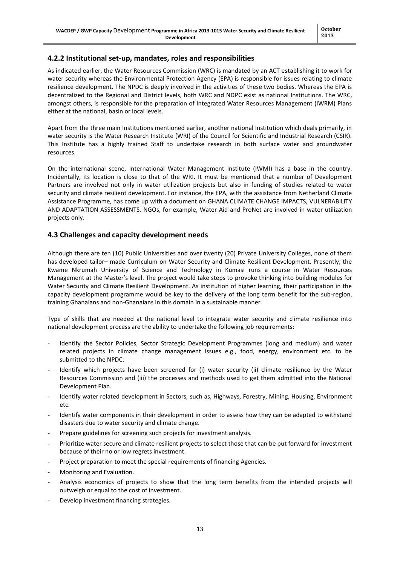#### <span id="page-12-0"></span>**4.2.2 Institutional set-up, mandates, roles and responsibilities**

As indicated earlier, the Water Resources Commission (WRC) is mandated by an ACT establishing it to work for water security whereas the Environmental Protection Agency (EPA) is responsible for issues relating to climate resilience development. The NPDC is deeply involved in the activities of these two bodies. Whereas the EPA is decentralized to the Regional and District levels, both WRC and NDPC exist as national Institutions. The WRC, amongst others, is responsible for the preparation of Integrated Water Resources Management (IWRM) Plans either at the national, basin or local levels.

Apart from the three main Institutions mentioned earlier, another national Institution which deals primarily, in water security is the Water Research Institute (WRI) of the Council for Scientific and Industrial Research (CSIR). This Institute has a highly trained Staff to undertake research in both surface water and groundwater resources.

On the international scene, International Water Management Institute (IWMI) has a base in the country. Incidentally, its location is close to that of the WRI. It must be mentioned that a number of Development Partners are involved not only in water utilization projects but also in funding of studies related to water security and climate resilient development. For instance, the EPA, with the assistance from Netherland Climate Assistance Programme, has come up with a document on GHANA CLIMATE CHANGE IMPACTS, VULNERABILITY AND ADAPTATION ASSESSMENTS. NGOs, for example, Water Aid and ProNet are involved in water utilization projects only.

#### <span id="page-12-1"></span>**4.3 Challenges and capacity development needs**

Although there are ten (10) Public Universities and over twenty (20) Private University Colleges, none of them has developed tailor– made Curriculum on Water Security and Climate Resilient Development. Presently, the Kwame Nkrumah University of Science and Technology in Kumasi runs a course in Water Resources Management at the Master's level. The project would take steps to provoke thinking into building modules for Water Security and Climate Resilient Development. As institution of higher learning, their participation in the capacity development programme would be key to the delivery of the long term benefit for the sub-region, training Ghanaians and non-Ghanaians in this domain in a sustainable manner.

Type of skills that are needed at the national level to integrate water security and climate resilience into national development process are the ability to undertake the following job requirements:

- Identify the Sector Policies, Sector Strategic Development Programmes (long and medium) and water related projects in climate change management issues e.g., food, energy, environment etc. to be submitted to the NPDC.
- Identify which projects have been screened for (i) water security (ii) climate resilience by the Water Resources Commission and (iii) the processes and methods used to get them admitted into the National Development Plan.
- Identify water related development in Sectors, such as, Highways, Forestry, Mining, Housing, Environment etc.
- Identify water components in their development in order to assess how they can be adapted to withstand disasters due to water security and climate change.
- Prepare guidelines for screening such projects for investment analysis.
- Prioritize water secure and climate resilient projects to select those that can be put forward for investment because of their no or low regrets investment.
- Project preparation to meet the special requirements of financing Agencies.
- Monitoring and Evaluation.
- Analysis economics of projects to show that the long term benefits from the intended projects will outweigh or equal to the cost of investment.
- Develop investment financing strategies.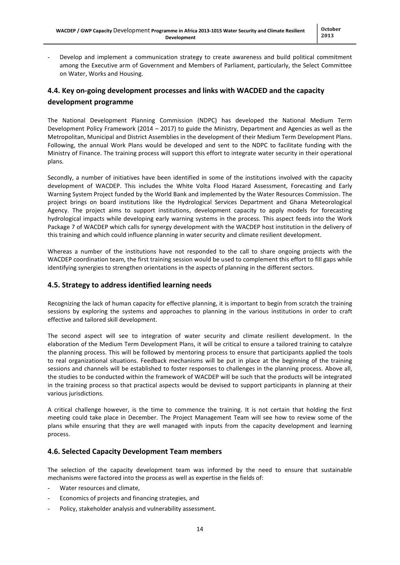Develop and implement a communication strategy to create awareness and build political commitment among the Executive arm of Government and Members of Parliament, particularly, the Select Committee on Water, Works and Housing.

## <span id="page-13-0"></span>**4.4. Key on-going development processes and links with WACDED and the capacity development programme**

The National Development Planning Commission (NDPC) has developed the National Medium Term Development Policy Framework (2014 – 2017) to guide the Ministry, Department and Agencies as well as the Metropolitan, Municipal and District Assemblies in the development of their Medium Term Development Plans. Following, the annual Work Plans would be developed and sent to the NDPC to facilitate funding with the Ministry of Finance. The training process will support this effort to integrate water security in their operational plans.

Secondly, a number of initiatives have been identified in some of the institutions involved with the capacity development of WACDEP. This includes the White Volta Flood Hazard Assessment, Forecasting and Early Warning System Project funded by the World Bank and implemented by the Water Resources Commission. The project brings on board institutions like the Hydrological Services Department and Ghana Meteorological Agency. The project aims to support institutions, development capacity to apply models for forecasting hydrological impacts while developing early warning systems in the process. This aspect feeds into the Work Package 7 of WACDEP which calls for synergy development with the WACDEP host institution in the delivery of this training and which could influence planning in water security and climate resilient development.

Whereas a number of the institutions have not responded to the call to share ongoing projects with the WACDEP coordination team, the first training session would be used to complement this effort to fill gaps while identifying synergies to strengthen orientations in the aspects of planning in the different sectors.

#### <span id="page-13-1"></span>**4.5. Strategy to address identified learning needs**

Recognizing the lack of human capacity for effective planning, it is important to begin from scratch the training sessions by exploring the systems and approaches to planning in the various institutions in order to craft effective and tailored skill development.

The second aspect will see to integration of water security and climate resilient development. In the elaboration of the Medium Term Development Plans, it will be critical to ensure a tailored training to catalyze the planning process. This will be followed by mentoring process to ensure that participants applied the tools to real organizational situations. Feedback mechanisms will be put in place at the beginning of the training sessions and channels will be established to foster responses to challenges in the planning process. Above all, the studies to be conducted within the framework of WACDEP will be such that the products will be integrated in the training process so that practical aspects would be devised to support participants in planning at their various jurisdictions.

A critical challenge however, is the time to commence the training. It is not certain that holding the first meeting could take place in December. The Project Management Team will see how to review some of the plans while ensuring that they are well managed with inputs from the capacity development and learning process.

#### <span id="page-13-2"></span>**4.6. Selected Capacity Development Team members**

The selection of the capacity development team was informed by the need to ensure that sustainable mechanisms were factored into the process as well as expertise in the fields of:

- Water resources and climate,
- Economics of projects and financing strategies, and
- Policy, stakeholder analysis and vulnerability assessment.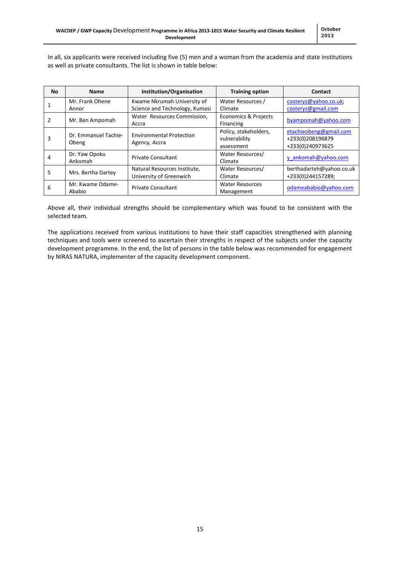In all, six applicants were received including five (5) men and a woman from the academia and state institutions as well as private consultants. The list is shown in table below:

| <b>No</b> | <b>Name</b>                   | Institution/Organisation                                      | <b>Training option</b>                               | Contact                                                        |
|-----------|-------------------------------|---------------------------------------------------------------|------------------------------------------------------|----------------------------------------------------------------|
|           | Mr. Frank Ohene<br>Annor      | Kwame Nkrumah University of<br>Science and Technology, Kumasi | Water Resources /<br>Climate                         | costeryz@yahoo.co.uk;<br>costeryz@gmail.com                    |
|           | Mr. Ben Ampomah               | Water Resources Commission,<br>Accra                          | <b>Economics &amp; Projects</b><br>Financing         | byampomah@yahoo.com                                            |
| 3         | Dr. Emmanuel Tachie-<br>Obeng | <b>Environmental Protection</b><br>Agency, Accra              | Policy, stakeholders,<br>vulnerability<br>assessment | etachieobeng@gmail.com<br>+233(0)208196879<br>+233(0)240973625 |
|           | Dr. Yaw Opoku<br>Ankomah      | <b>Private Consultant</b>                                     | Water Resources/<br>Climate                          | y ankomah@yahoo.com                                            |
| 5         | Mrs. Bertha Dartey            | Natural Resources Institute,<br>University of Greenwich       | Water Resources/<br>Climate                          | berthadarteh@yahoo.co.uk<br>+233(0)244157289;                  |
| 6         | Mr. Kwame Odame-<br>Ababio    | <b>Private Consultant</b>                                     | <b>Water Resources</b><br>Management                 | odameababio@yahoo.com                                          |

Above all, their individual strengths should be complementary which was found to be consistent with the selected team.

The applications received from various institutions to have their staff capacities strengthened with planning techniques and tools were screened to ascertain their strengths in respect of the subjects under the capacity development programme. In the end, the list of persons in the table below was recommended for engagement by NIRAS NATURA, implementer of the capacity development component.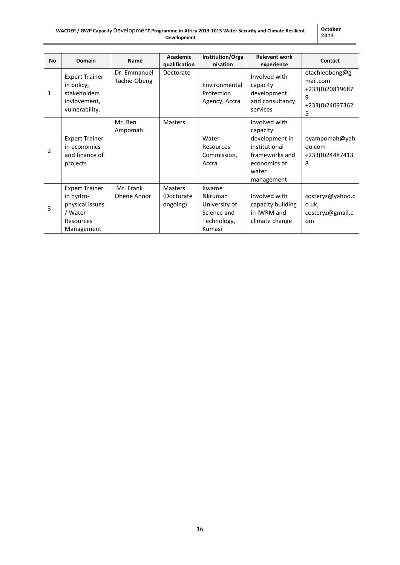| <b>No</b>      | <b>Domain</b>                                                                               | <b>Name</b>                  | Academic<br>qualification                | <b>Institution/Orga</b><br>nisation                                       | <b>Relevant work</b><br>experience                                                                                    | Contact                                                                    |
|----------------|---------------------------------------------------------------------------------------------|------------------------------|------------------------------------------|---------------------------------------------------------------------------|-----------------------------------------------------------------------------------------------------------------------|----------------------------------------------------------------------------|
| $\mathbf{1}$   | <b>Expert Trainer</b><br>in policy,<br>stakeholders<br>invlovement,<br>vulnerability.       | Dr. Emmanuel<br>Tachie-Obeng | Doctorate                                | Environmental<br>Protection<br>Agency, Accra                              | Involved with<br>capacity<br>development<br>and consultancy<br>services                                               | etachieobeng@g<br>mail.com<br>+233(0)20819687<br>9<br>+233(0)24097362<br>5 |
| $\overline{2}$ | <b>Expert Trainer</b><br>in economics<br>and finance of<br>projects                         | Mr. Ben<br>Ampomah           | <b>Masters</b>                           | Water<br>Resources<br>Commission,<br>Accra                                | Involved with<br>capacity<br>development in<br>institutional<br>frameworks and<br>economics of<br>water<br>management | byampomah@yah<br>00.com<br>+233(0)24487413<br>8                            |
| 3              | <b>Expert Trainer</b><br>in hydro-<br>physical issues<br>/ Water<br>Resources<br>Management | Mr. Frank<br>Ohene Annor     | <b>Masters</b><br>(Doctorate<br>ongoing) | Kwame<br>Nkrumah<br>University of<br>Science and<br>Technology,<br>Kumasi | Involved with<br>capacity building<br>in IWRM and<br>climate change                                                   | costeryz@yahoo.c<br>o.uk;<br>costeryz@gmail.c<br><sub>om</sub>             |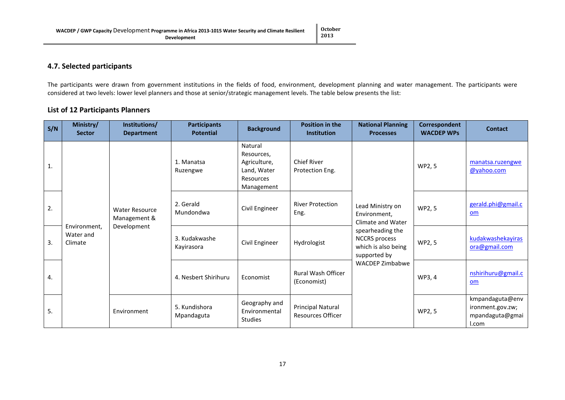#### **4.7. Selected participants**

The participants were drawn from government institutions in the fields of food, environment, development planning and water management. The participants were considered at two levels: lower level planners and those at senior/strategic management levels. The table below presents the list:

#### **List of 12 Participants Planners**

<span id="page-16-0"></span>

| S/N          | Ministry/<br><b>Sector</b>           | Institutions/<br><b>Department</b>    | <b>Participants</b><br><b>Potential</b> | <b>Background</b>                                                               | <b>Position in the</b><br><b>Institution</b>         | <b>National Planning</b><br><b>Processes</b>                                    | Correspondent<br><b>WACDEP WPs</b> | <b>Contact</b>                                                  |
|--------------|--------------------------------------|---------------------------------------|-----------------------------------------|---------------------------------------------------------------------------------|------------------------------------------------------|---------------------------------------------------------------------------------|------------------------------------|-----------------------------------------------------------------|
| $\mathbf{1}$ |                                      |                                       | 1. Manatsa<br>Ruzengwe                  | Natural<br>Resources,<br>Agriculture,<br>Land, Water<br>Resources<br>Management | <b>Chief River</b><br>Protection Eng.                |                                                                                 | WP2, 5                             | manatsa.ruzengwe<br>@yahoo.com                                  |
| 2.           |                                      | <b>Water Resource</b><br>Management & | 2. Gerald<br>Mundondwa                  | Civil Engineer                                                                  | <b>River Protection</b><br>Eng.                      | Lead Ministry on<br>Environment,<br>Climate and Water                           | WP2, 5                             | gerald.phi@gmail.c<br>om                                        |
| 3.           | Environment.<br>Water and<br>Climate | Development                           | 3. Kudakwashe<br>Kayirasora             | Civil Engineer                                                                  | Hydrologist                                          | spearheading the<br><b>NCCRS</b> process<br>which is also being<br>supported by | WP2, 5                             | kudakwashekayiras<br>ora@gmail.com                              |
| 4.           |                                      |                                       | 4. Nesbert Shirihuru                    | Economist                                                                       | <b>Rural Wash Officer</b><br>(Economist)             | <b>WACDEP Zimbabwe</b>                                                          | WP3, 4                             | nshirihuru@gmail.c<br>om                                        |
| 5.           |                                      | Environment                           | 5. Kundishora<br>Mpandaguta             | Geography and<br>Environmental<br><b>Studies</b>                                | <b>Principal Natural</b><br><b>Resources Officer</b> |                                                                                 | WP2, 5                             | kmpandaguta@env<br>ironment.gov.zw;<br>mpandaguta@gmai<br>l.com |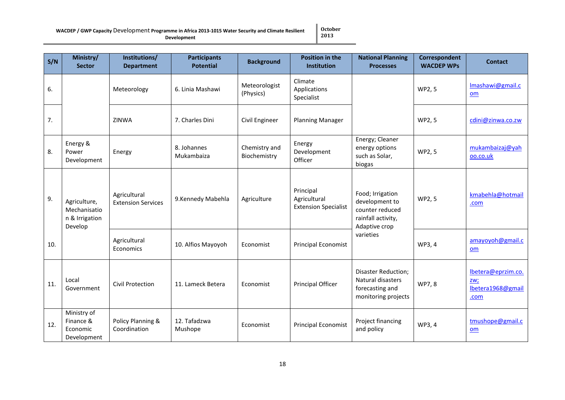#### **WACDEP / GWP Capacity** Development **Programme in Africa 2013-1015 Water Security and Climate Resilient Development**

**October 2013**

| S/N | Ministry/<br><b>Sector</b>                                | Institutions/<br><b>Department</b>                             | <b>Participants</b><br><b>Potential</b> | <b>Background</b>             | <b>Position in the</b><br><b>Institution</b>             | <b>National Planning</b><br><b>Processes</b>                                                 | Correspondent<br><b>WACDEP WPs</b> | <b>Contact</b>                                         |
|-----|-----------------------------------------------------------|----------------------------------------------------------------|-----------------------------------------|-------------------------------|----------------------------------------------------------|----------------------------------------------------------------------------------------------|------------------------------------|--------------------------------------------------------|
| 6.  |                                                           | Meteorology                                                    | 6. Linia Mashawi                        | Meteorologist<br>(Physics)    | Climate<br>Applications<br>Specialist                    |                                                                                              | WP2, 5                             | Imashawi@gmail.c<br>om                                 |
| 7.  |                                                           | ZINWA                                                          | 7. Charles Dini                         | Civil Engineer                | <b>Planning Manager</b>                                  |                                                                                              | WP2, 5                             | cdini@zinwa.co.zw                                      |
| 8.  | Energy &<br>Power<br>Development                          | Energy                                                         | 8. Johannes<br>Mukambaiza               | Chemistry and<br>Biochemistry | Energy<br>Development<br>Officer                         | Energy; Cleaner<br>energy options<br>such as Solar,<br>biogas                                | WP2, 5                             | mukambaizaj@yah<br>oo.co.uk                            |
| 9.  | Agriculture,<br>Mechanisatio<br>n & Irrigation<br>Develop | Agricultural<br>9.Kennedy Mabehla<br><b>Extension Services</b> |                                         | Agriculture                   | Principal<br>Agricultural<br><b>Extension Specialist</b> | Food; Irrigation<br>development to<br>counter reduced<br>rainfall activity,<br>Adaptive crop | WP2, 5                             | kmabehla@hotmail<br>.com                               |
| 10. |                                                           | Agricultural<br>Economics                                      | 10. Alfios Mayoyoh                      | Economist                     | <b>Principal Economist</b>                               | varieties                                                                                    | WP3, 4                             | amayoyoh@gmail.c<br>om                                 |
| 11. | Local<br>Government                                       | Civil Protection                                               | 11. Lameck Betera                       | Economist                     | Principal Officer                                        | <b>Disaster Reduction;</b><br>Natural disasters<br>forecasting and<br>monitoring projects    | WP7, 8                             | lbetera@eprzim.co.<br>ZW;<br>lbetera1968@gmail<br>.com |
| 12. | Ministry of<br>Finance &<br>Economic<br>Development       | Policy Planning &<br>Coordination                              | 12. Tafadzwa<br>Mushope                 | Economist                     | <b>Principal Economist</b>                               | Project financing<br>and policy                                                              | WP3, 4                             | tmushope@gmail.c<br>om                                 |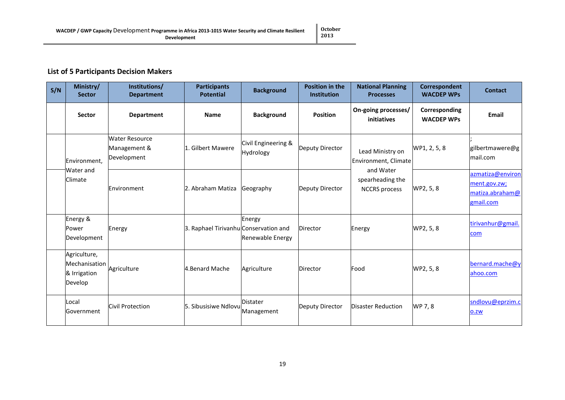## **List of 5 Participants Decision Makers**

| S/N | Ministry/<br><b>Sector</b>                               | Institutions/<br><b>Department</b>                   | <b>Participants</b><br><b>Potential</b> | <b>Background</b>                | <b>Position in the</b><br><b>Institution</b> | <b>National Planning</b><br><b>Processes</b>          | Correspondent<br><b>WACDEP WPs</b> | <b>Contact</b>                                                   |
|-----|----------------------------------------------------------|------------------------------------------------------|-----------------------------------------|----------------------------------|----------------------------------------------|-------------------------------------------------------|------------------------------------|------------------------------------------------------------------|
|     | <b>Sector</b>                                            | <b>Department</b>                                    | <b>Name</b>                             | <b>Background</b>                | <b>Position</b>                              | On-going processes/<br>initiatives                    | Corresponding<br><b>WACDEP WPs</b> | Email                                                            |
|     | Environment.                                             | <b>Water Resource</b><br>Management &<br>Development | 1. Gilbert Mawere                       | Civil Engineering &<br>Hydrology | Deputy Director                              | Lead Ministry on<br>Environment, Climate              | WP1, 2, 5, 8                       | gilbertmawere@g<br>mail.com                                      |
|     | Water and<br>Climate                                     | Environment                                          | 2. Abraham Matiza                       | Geography                        | Deputy Director                              | and Water<br>spearheading the<br><b>NCCRS</b> process | WP2, 5, 8                          | azmatiza@environ<br>ment.gov.zw;<br>matiza.abraham@<br>gmail.com |
|     | Energy &<br>Power<br>Development                         | Energy                                               | 3. Raphael Tirivanhu Conservation and   | Energy<br>Renewable Energy       | Director                                     | Energy                                                | WP2, 5, 8                          | tirivanhur@gmail.<br>com                                         |
|     | Agriculture,<br>Mechanisation<br>& Irrigation<br>Develop | Agriculture                                          | 4. Benard Mache                         | Agriculture                      | Director                                     | Food                                                  | WP2, 5, 8                          | bernard.mache@y<br>ahoo.com                                      |
|     | Local<br>Government                                      | Civil Protection                                     | 5. Sibusisiwe Ndlovu                    | <b>Distater</b><br>Management    | Deputy Director                              | <b>Disaster Reduction</b>                             | WP 7, 8                            | sndlovu@eprzim.c<br>0.ZW                                         |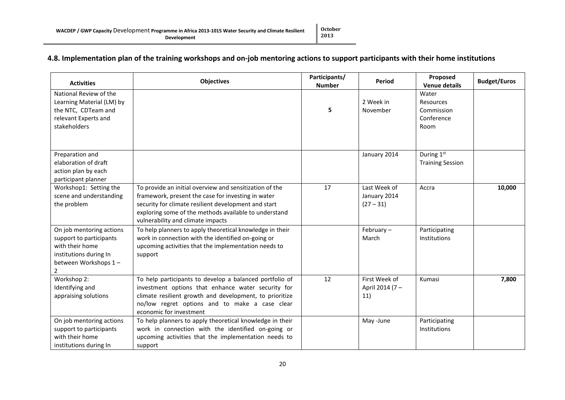## **4.8. Implementation plan of the training workshops and on-job mentoring actions to support participants with their home institutions**

<span id="page-19-0"></span>

| <b>Activities</b>                                                                                                             | <b>Objectives</b>                                                                                                                                                                                                                                                   | Participants/<br><b>Number</b> | <b>Period</b>                               | Proposed<br><b>Venue details</b>                       | <b>Budget/Euros</b> |
|-------------------------------------------------------------------------------------------------------------------------------|---------------------------------------------------------------------------------------------------------------------------------------------------------------------------------------------------------------------------------------------------------------------|--------------------------------|---------------------------------------------|--------------------------------------------------------|---------------------|
| National Review of the<br>Learning Material (LM) by<br>the NTC, CDTeam and<br>relevant Experts and<br>stakeholders            |                                                                                                                                                                                                                                                                     | 5                              | 2 Week in<br>November                       | Water<br>Resources<br>Commission<br>Conference<br>Room |                     |
| Preparation and<br>elaboration of draft<br>action plan by each<br>participant planner                                         |                                                                                                                                                                                                                                                                     |                                | January 2014                                | During 1st<br><b>Training Session</b>                  |                     |
| Workshop1: Setting the<br>scene and understanding<br>the problem                                                              | To provide an initial overview and sensitization of the<br>framework, present the case for investing in water<br>security for climate resilient development and start<br>exploring some of the methods available to understand<br>vulnerability and climate impacts | 17                             | Last Week of<br>January 2014<br>$(27 - 31)$ | Accra                                                  | 10,000              |
| On job mentoring actions<br>support to participants<br>with their home<br>institutions during In<br>between Workshops 1-<br>2 | To help planners to apply theoretical knowledge in their<br>work in connection with the identified on-going or<br>upcoming activities that the implementation needs to<br>support                                                                                   |                                | February $-$<br>March                       | Participating<br>Institutions                          |                     |
| Workshop 2:<br>Identifying and<br>appraising solutions                                                                        | To help participants to develop a balanced portfolio of<br>investment options that enhance water security for<br>climate resilient growth and development, to prioritize<br>no/low regret options and to make a case clear<br>economic for investment               | 12                             | First Week of<br>April 2014 (7 -<br>11)     | Kumasi                                                 | 7,800               |
| On job mentoring actions<br>support to participants<br>with their home<br>institutions during In                              | To help planners to apply theoretical knowledge in their<br>work in connection with the identified on-going or<br>upcoming activities that the implementation needs to<br>support                                                                                   |                                | May -June                                   | Participating<br>Institutions                          |                     |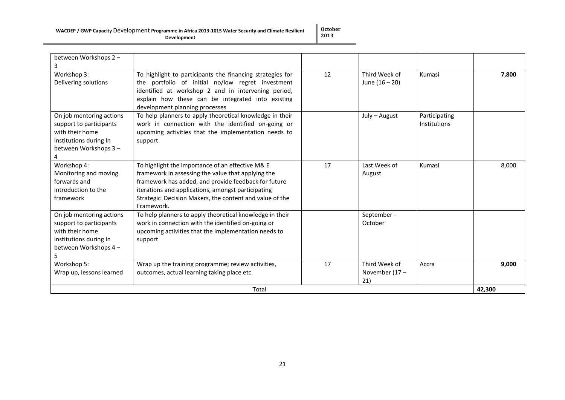#### **WACDEP / GWP Capacity** Development **Programme in Africa 2013-1015 Water Security and Climate Resilient Development**

**October 2013**

|                                                                                                                                                   | Total                                                                                                                                                                                                                                                                                                                                                                                |    |                                          |                               | 42,300 |
|---------------------------------------------------------------------------------------------------------------------------------------------------|--------------------------------------------------------------------------------------------------------------------------------------------------------------------------------------------------------------------------------------------------------------------------------------------------------------------------------------------------------------------------------------|----|------------------------------------------|-------------------------------|--------|
| Workshop 5:<br>Wrap up, lessons learned                                                                                                           | Wrap up the training programme; review activities,<br>outcomes, actual learning taking place etc.                                                                                                                                                                                                                                                                                    | 17 | Third Week of<br>November $(17 -$<br>21) | Accra                         | 9,000  |
| On job mentoring actions<br>support to participants<br>with their home<br>institutions during In<br>between Workshops 4 -<br>5.                   | To help planners to apply theoretical knowledge in their<br>work in connection with the identified on-going or<br>upcoming activities that the implementation needs to<br>support                                                                                                                                                                                                    |    | September -<br>October                   |                               |        |
| Workshop 4:<br>Monitoring and moving<br>forwards and<br>introduction to the<br>framework                                                          | To highlight the importance of an effective M& E<br>framework in assessing the value that applying the<br>framework has added, and provide feedback for future<br>iterations and applications, amongst participating<br>Strategic Decision Makers, the content and value of the<br>Framework.                                                                                        | 17 | Last Week of<br>August                   | Kumasi                        | 8,000  |
| Delivering solutions<br>On job mentoring actions<br>support to participants<br>with their home<br>institutions during In<br>between Workshops 3 - | the portfolio of initial no/low regret investment<br>identified at workshop 2 and in intervening period,<br>explain how these can be integrated into existing<br>development planning processes<br>To help planners to apply theoretical knowledge in their<br>work in connection with the identified on-going or<br>upcoming activities that the implementation needs to<br>support |    | June $(16 - 20)$<br>July - August        | Participating<br>Institutions |        |
| between Workshops 2 -<br>3<br>Workshop 3:                                                                                                         | To highlight to participants the financing strategies for                                                                                                                                                                                                                                                                                                                            | 12 | Third Week of                            | Kumasi                        | 7,800  |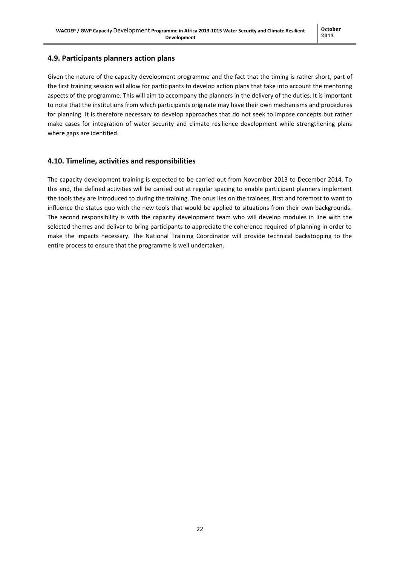#### <span id="page-21-0"></span>**4.9. Participants planners action plans**

Given the nature of the capacity development programme and the fact that the timing is rather short, part of the first training session will allow for participants to develop action plans that take into account the mentoring aspects of the programme. This will aim to accompany the planners in the delivery of the duties. It is important to note that the institutions from which participants originate may have their own mechanisms and procedures for planning. It is therefore necessary to develop approaches that do not seek to impose concepts but rather make cases for integration of water security and climate resilience development while strengthening plans where gaps are identified.

#### <span id="page-21-1"></span>**4.10. Timeline, activities and responsibilities**

The capacity development training is expected to be carried out from November 2013 to December 2014. To this end, the defined activities will be carried out at regular spacing to enable participant planners implement the tools they are introduced to during the training. The onus lies on the trainees, first and foremost to want to influence the status quo with the new tools that would be applied to situations from their own backgrounds. The second responsibility is with the capacity development team who will develop modules in line with the selected themes and deliver to bring participants to appreciate the coherence required of planning in order to make the impacts necessary. The National Training Coordinator will provide technical backstopping to the entire process to ensure that the programme is well undertaken.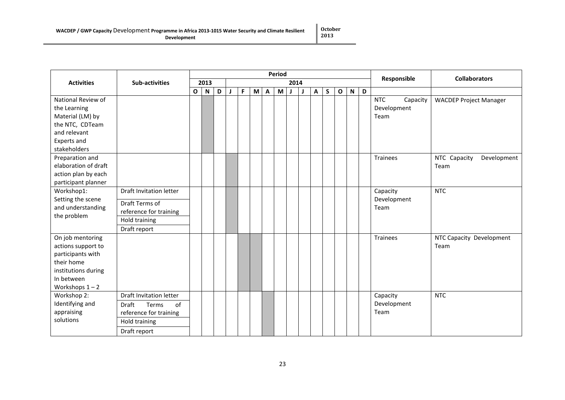| WACDEP / GWP Capacity Development Programme in Africa 2013-1015 Water Security and Climate Resilient<br><b>Development</b> | $\vert$ October<br>2013 |
|----------------------------------------------------------------------------------------------------------------------------|-------------------------|
|                                                                                                                            |                         |

|                                                                                                                                     |                                                                                                                   | <b>Period</b> |      |   |  |   |   |              |   |              |  | Responsible  | <b>Collaborators</b> |                         |           |   |                                               |                                     |
|-------------------------------------------------------------------------------------------------------------------------------------|-------------------------------------------------------------------------------------------------------------------|---------------|------|---|--|---|---|--------------|---|--------------|--|--------------|----------------------|-------------------------|-----------|---|-----------------------------------------------|-------------------------------------|
| <b>Activities</b>                                                                                                                   | Sub-activities                                                                                                    |               | 2013 |   |  |   |   |              |   | 2014         |  |              |                      |                         |           |   |                                               |                                     |
|                                                                                                                                     |                                                                                                                   | $\mathbf{o}$  | N    | D |  | F | M | $\mathbf{A}$ | M | $\mathbf{J}$ |  | $\mathsf{A}$ | S                    | $\overline{\mathbf{O}}$ | ${\sf N}$ | D |                                               |                                     |
| National Review of<br>the Learning<br>Material (LM) by<br>the NTC, CDTeam<br>and relevant<br>Experts and<br>stakeholders            |                                                                                                                   |               |      |   |  |   |   |              |   |              |  |              |                      |                         |           |   | <b>NTC</b><br>Capacity<br>Development<br>Team | <b>WACDEP Project Manager</b>       |
| Preparation and<br>elaboration of draft<br>action plan by each<br>participant planner                                               |                                                                                                                   |               |      |   |  |   |   |              |   |              |  |              |                      |                         |           |   | Trainees                                      | NTC Capacity<br>Development<br>Team |
| Workshop1:                                                                                                                          | Draft Invitation letter                                                                                           |               |      |   |  |   |   |              |   |              |  |              |                      |                         |           |   | Capacity                                      | <b>NTC</b>                          |
| Setting the scene<br>and understanding<br>the problem                                                                               | Draft Terms of<br>reference for training<br>Hold training<br>Draft report                                         |               |      |   |  |   |   |              |   |              |  |              |                      |                         |           |   | Development<br>Team                           |                                     |
| On job mentoring<br>actions support to<br>participants with<br>their home<br>institutions during<br>In between<br>Workshops $1 - 2$ |                                                                                                                   |               |      |   |  |   |   |              |   |              |  |              |                      |                         |           |   | <b>Trainees</b>                               | NTC Capacity Development<br>Team    |
| Workshop 2:<br>Identifying and<br>appraising<br>solutions                                                                           | <b>Draft Invitation letter</b><br>of<br>Draft<br>Terms<br>reference for training<br>Hold training<br>Draft report |               |      |   |  |   |   |              |   |              |  |              |                      |                         |           |   | Capacity<br>Development<br>Team               | <b>NTC</b>                          |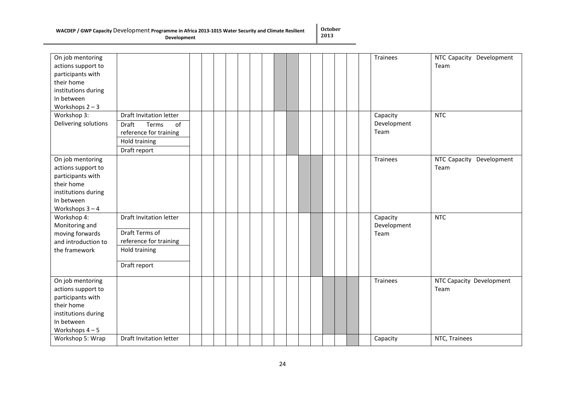#### **WACDEP / GWP Capacity** Development **Programme in Africa 2013-1015 Water Security and Climate Resilient**

**Development**

**October 2013**

| On job mentoring<br>actions support to<br>participants with<br>their home<br>institutions during<br>In between<br>Workshops $2 - 3$ |                                                                                                                   |  |  |  |  |  | <b>Trainees</b>                 | NTC Capacity Development<br>Team |
|-------------------------------------------------------------------------------------------------------------------------------------|-------------------------------------------------------------------------------------------------------------------|--|--|--|--|--|---------------------------------|----------------------------------|
| Workshop 3:<br>Delivering solutions                                                                                                 | <b>Draft Invitation letter</b><br>Terms<br>of<br>Draft<br>reference for training<br>Hold training<br>Draft report |  |  |  |  |  | Capacity<br>Development<br>Team | <b>NTC</b>                       |
| On job mentoring<br>actions support to<br>participants with<br>their home<br>institutions during<br>In between<br>Workshops $3 - 4$ |                                                                                                                   |  |  |  |  |  | <b>Trainees</b>                 | NTC Capacity Development<br>Team |
| Workshop 4:<br>Monitoring and<br>moving forwards<br>and introduction to<br>the framework                                            | Draft Invitation letter<br>Draft Terms of<br>reference for training<br>Hold training<br>Draft report              |  |  |  |  |  | Capacity<br>Development<br>Team | <b>NTC</b>                       |
| On job mentoring<br>actions support to<br>participants with<br>their home<br>institutions during<br>In between<br>Workshops $4-5$   |                                                                                                                   |  |  |  |  |  | <b>Trainees</b>                 | NTC Capacity Development<br>Team |
| Workshop 5: Wrap                                                                                                                    | Draft Invitation letter                                                                                           |  |  |  |  |  | Capacity                        | NTC, Trainees                    |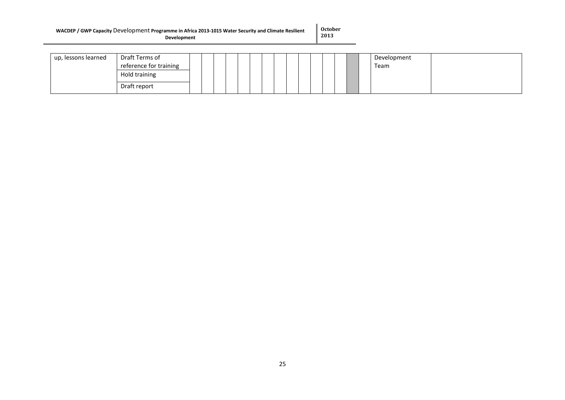#### **WACDEP / GWP Capacity** Development **Programme in Africa 2013-1015 Water Security and Climate Resilient Development**

**October 2013**

| up, lessons learned | Draft Terms of         |  |  |  |  |  |  | Development |
|---------------------|------------------------|--|--|--|--|--|--|-------------|
|                     | reference for training |  |  |  |  |  |  | Team        |
|                     | Hold training          |  |  |  |  |  |  |             |
|                     | Draft report           |  |  |  |  |  |  |             |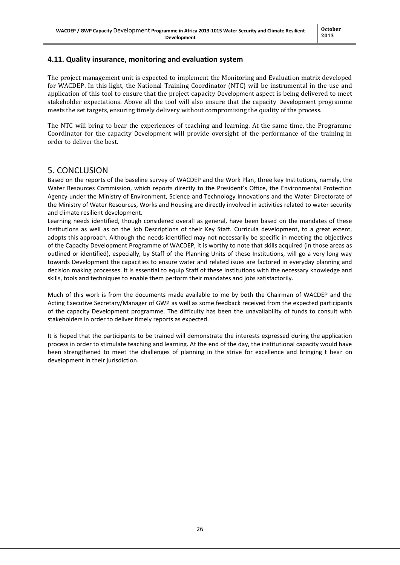## <span id="page-25-0"></span>**4.11. Quality insurance, monitoring and evaluation system**

The project management unit is expected to implement the Monitoring and Evaluation matrix developed for WACDEP. In this light, the National Training Coordinator (NTC) will be instrumental in the use and application of this tool to ensure that the project capacity Development aspect is being delivered to meet stakeholder expectations. Above all the tool will also ensure that the capacity Development programme meets the set targets, ensuring timely delivery without compromising the quality of the process.

The NTC will bring to bear the experiences of teaching and learning. At the same time, the Programme Coordinator for the capacity Development will provide oversight of the performance of the training in order to deliver the best.

## 5. CONCLUSION

Based on the reports of the baseline survey of WACDEP and the Work Plan, three key Institutions, namely, the Water Resources Commission, which reports directly to the President's Office, the Environmental Protection Agency under the Ministry of Environment, Science and Technology Innovations and the Water Directorate of the Ministry of Water Resources, Works and Housing are directly involved in activities related to water security and climate resilient development.

Learning needs identified, though considered overall as general, have been based on the mandates of these Institutions as well as on the Job Descriptions of their Key Staff. Curricula development, to a great extent, adopts this approach. Although the needs identified may not necessarily be specific in meeting the objectives of the Capacity Development Programme of WACDEP, it is worthy to note that skills acquired (in those areas as outlined or identified), especially, by Staff of the Planning Units of these Institutions, will go a very long way towards Development the capacities to ensure water and related isues are factored in everyday planning and decision making processes. It is essential to equip Staff of these Institutions with the necessary knowledge and skills, tools and techniques to enable them perform their mandates and jobs satisfactorily.

Much of this work is from the documents made available to me by both the Chairman of WACDEP and the Acting Executive Secretary/Manager of GWP as well as some feedback received from the expected participants of the capacity Development programme. The difficulty has been the unavailability of funds to consult with stakeholders in order to deliver timely reports as expected.

It is hoped that the participants to be trained will demonstrate the interests expressed during the application process in order to stimulate teaching and learning. At the end of the day, the institutional capacity would have been strengthened to meet the challenges of planning in the strive for excellence and bringing t bear on development in their jurisdiction.